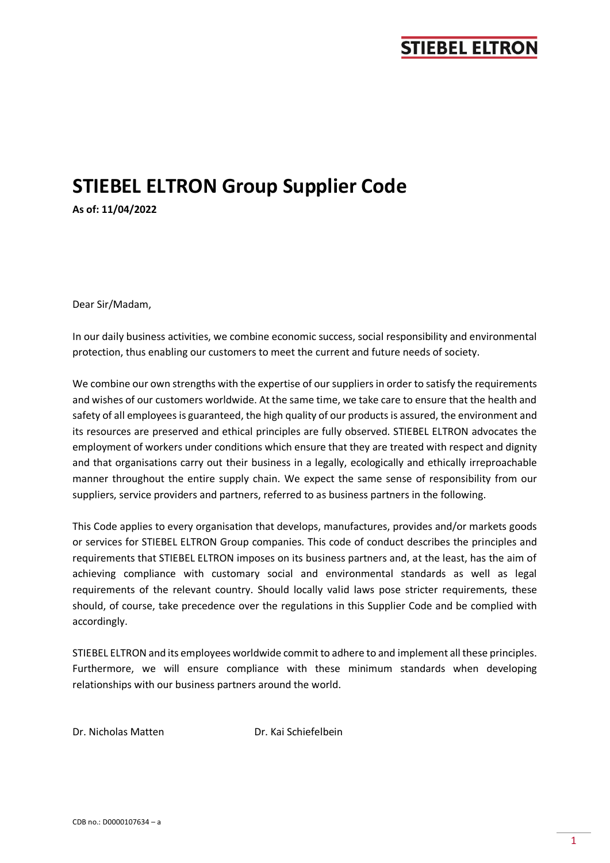# **STIEBEL ELTRON Group Supplier Code**

**As of: 11/04/2022**

Dear Sir/Madam,

In our daily business activities, we combine economic success, social responsibility and environmental protection, thus enabling our customers to meet the current and future needs of society.

We combine our own strengths with the expertise of our suppliers in order to satisfy the requirements and wishes of our customers worldwide. At the same time, we take care to ensure that the health and safety of all employees is guaranteed, the high quality of our products is assured, the environment and its resources are preserved and ethical principles are fully observed. STIEBEL ELTRON advocates the employment of workers under conditions which ensure that they are treated with respect and dignity and that organisations carry out their business in a legally, ecologically and ethically irreproachable manner throughout the entire supply chain. We expect the same sense of responsibility from our suppliers, service providers and partners, referred to as business partners in the following.

This Code applies to every organisation that develops, manufactures, provides and/or markets goods or services for STIEBEL ELTRON Group companies. This code of conduct describes the principles and requirements that STIEBEL ELTRON imposes on its business partners and, at the least, has the aim of achieving compliance with customary social and environmental standards as well as legal requirements of the relevant country. Should locally valid laws pose stricter requirements, these should, of course, take precedence over the regulations in this Supplier Code and be complied with accordingly.

STIEBEL ELTRON and its employees worldwide commit to adhere to and implement all these principles. Furthermore, we will ensure compliance with these minimum standards when developing relationships with our business partners around the world.

Dr. Nicholas Matten Dr. Kai Schiefelbein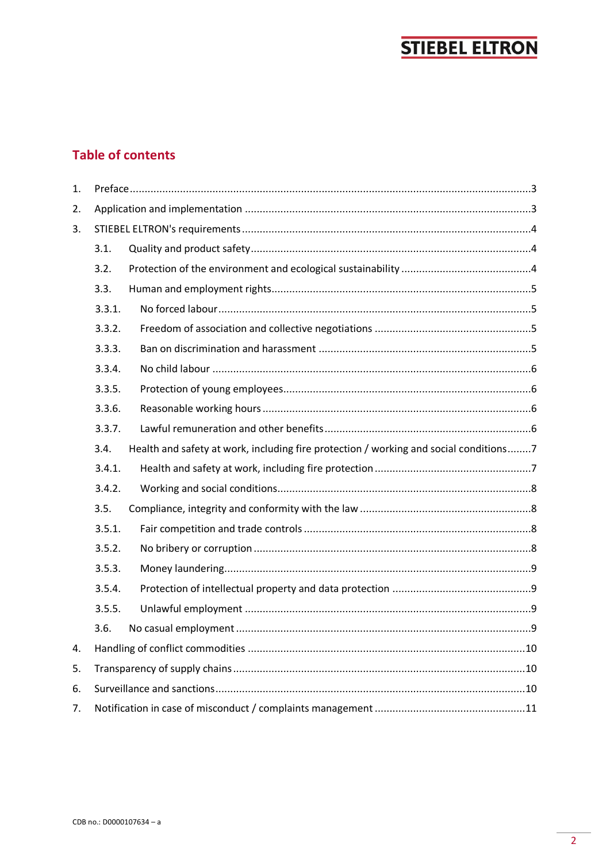## **Table of contents**

| 1. |        |                                                                                       |
|----|--------|---------------------------------------------------------------------------------------|
| 2. |        |                                                                                       |
| 3. |        |                                                                                       |
|    | 3.1.   |                                                                                       |
|    | 3.2.   |                                                                                       |
|    | 3.3.   |                                                                                       |
|    | 3.3.1. |                                                                                       |
|    | 3.3.2. |                                                                                       |
|    | 3.3.3. |                                                                                       |
|    | 3.3.4. |                                                                                       |
|    | 3.3.5. |                                                                                       |
|    | 3.3.6. |                                                                                       |
|    | 3.3.7. |                                                                                       |
|    | 3.4.   | Health and safety at work, including fire protection / working and social conditions7 |
|    | 3.4.1. |                                                                                       |
|    | 3.4.2. |                                                                                       |
|    | 3.5.   |                                                                                       |
|    | 3.5.1. |                                                                                       |
|    | 3.5.2. |                                                                                       |
|    | 3.5.3. |                                                                                       |
|    | 3.5.4. |                                                                                       |
|    | 3.5.5. |                                                                                       |
|    | 3.6.   |                                                                                       |
| 4. |        |                                                                                       |
| 5. |        |                                                                                       |
| 6. |        |                                                                                       |
| 7. |        |                                                                                       |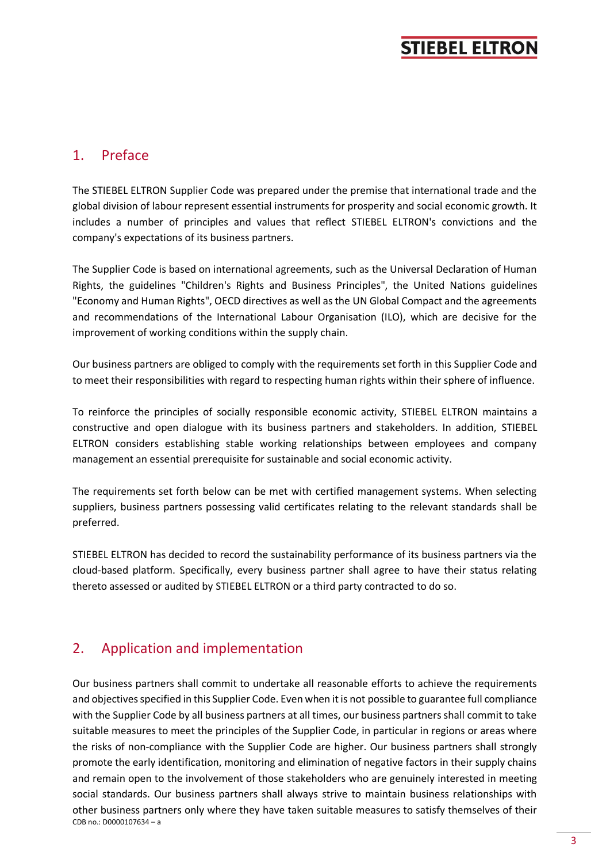### <span id="page-2-0"></span>1. Preface

The STIEBEL ELTRON Supplier Code was prepared under the premise that international trade and the global division of labour represent essential instruments for prosperity and social economic growth. It includes a number of principles and values that reflect STIEBEL ELTRON's convictions and the company's expectations of its business partners.

The Supplier Code is based on international agreements, such as the Universal Declaration of Human Rights, the guidelines "Children's Rights and Business Principles", the United Nations guidelines "Economy and Human Rights", OECD directives as well as the UN Global Compact and the agreements and recommendations of the International Labour Organisation (ILO), which are decisive for the improvement of working conditions within the supply chain.

Our business partners are obliged to comply with the requirements set forth in this Supplier Code and to meet their responsibilities with regard to respecting human rights within their sphere of influence.

To reinforce the principles of socially responsible economic activity, STIEBEL ELTRON maintains a constructive and open dialogue with its business partners and stakeholders. In addition, STIEBEL ELTRON considers establishing stable working relationships between employees and company management an essential prerequisite for sustainable and social economic activity.

The requirements set forth below can be met with certified management systems. When selecting suppliers, business partners possessing valid certificates relating to the relevant standards shall be preferred.

STIEBEL ELTRON has decided to record the sustainability performance of its business partners via the cloud-based platform. Specifically, every business partner shall agree to have their status relating thereto assessed or audited by STIEBEL ELTRON or a third party contracted to do so.

## <span id="page-2-1"></span>2. Application and implementation

CDB no.: D0000107634 – a Our business partners shall commit to undertake all reasonable efforts to achieve the requirements and objectives specified in this Supplier Code. Even when it is not possible to guarantee full compliance with the Supplier Code by all business partners at all times, our business partners shall commit to take suitable measures to meet the principles of the Supplier Code, in particular in regions or areas where the risks of non-compliance with the Supplier Code are higher. Our business partners shall strongly promote the early identification, monitoring and elimination of negative factors in their supply chains and remain open to the involvement of those stakeholders who are genuinely interested in meeting social standards. Our business partners shall always strive to maintain business relationships with other business partners only where they have taken suitable measures to satisfy themselves of their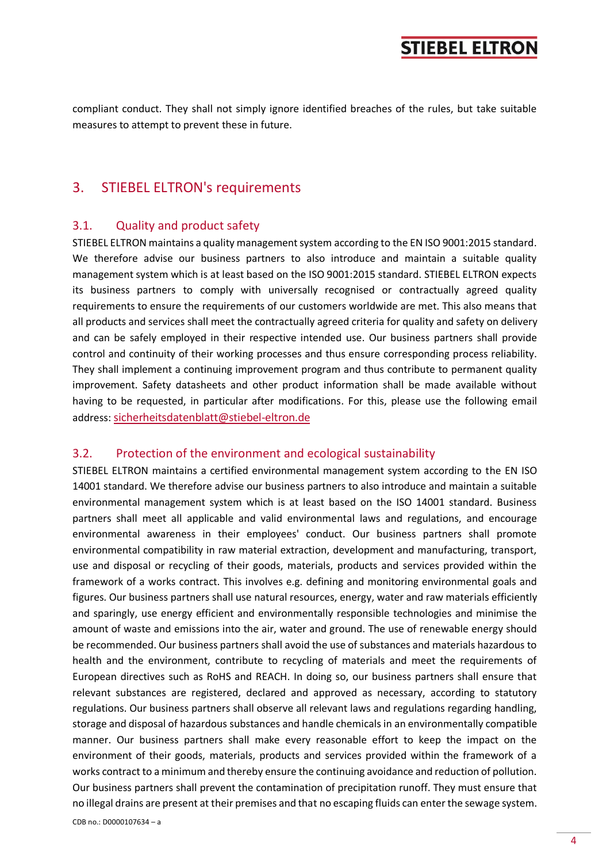compliant conduct. They shall not simply ignore identified breaches of the rules, but take suitable measures to attempt to prevent these in future.

### <span id="page-3-0"></span>3. STIEBEL ELTRON's requirements

#### <span id="page-3-1"></span>3.1. Quality and product safety

STIEBEL ELTRON maintains a quality management system according to the EN ISO 9001:2015 standard. We therefore advise our business partners to also introduce and maintain a suitable quality management system which is at least based on the ISO 9001:2015 standard. STIEBEL ELTRON expects its business partners to comply with universally recognised or contractually agreed quality requirements to ensure the requirements of our customers worldwide are met. This also means that all products and services shall meet the contractually agreed criteria for quality and safety on delivery and can be safely employed in their respective intended use. Our business partners shall provide control and continuity of their working processes and thus ensure corresponding process reliability. They shall implement a continuing improvement program and thus contribute to permanent quality improvement. Safety datasheets and other product information shall be made available without having to be requested, in particular after modifications. For this, please use the following email address: [sicherheitsdatenblatt@stiebel-eltron.de](mailto:sicherheitsdatenblatt@stiebel-eltron.de)

#### <span id="page-3-2"></span>3.2. Protection of the environment and ecological sustainability

STIEBEL ELTRON maintains a certified environmental management system according to the EN ISO 14001 standard. We therefore advise our business partners to also introduce and maintain a suitable environmental management system which is at least based on the ISO 14001 standard. Business partners shall meet all applicable and valid environmental laws and regulations, and encourage environmental awareness in their employees' conduct. Our business partners shall promote environmental compatibility in raw material extraction, development and manufacturing, transport, use and disposal or recycling of their goods, materials, products and services provided within the framework of a works contract. This involves e.g. defining and monitoring environmental goals and figures. Our business partners shall use natural resources, energy, water and raw materials efficiently and sparingly, use energy efficient and environmentally responsible technologies and minimise the amount of waste and emissions into the air, water and ground. The use of renewable energy should be recommended. Our business partners shall avoid the use of substances and materials hazardous to health and the environment, contribute to recycling of materials and meet the requirements of European directives such as RoHS and REACH. In doing so, our business partners shall ensure that relevant substances are registered, declared and approved as necessary, according to statutory regulations. Our business partners shall observe all relevant laws and regulations regarding handling, storage and disposal of hazardous substances and handle chemicals in an environmentally compatible manner. Our business partners shall make every reasonable effort to keep the impact on the environment of their goods, materials, products and services provided within the framework of a works contract to a minimum and thereby ensure the continuing avoidance and reduction of pollution. Our business partners shall prevent the contamination of precipitation runoff. They must ensure that no illegal drains are present at their premises and that no escaping fluids can enter the sewage system.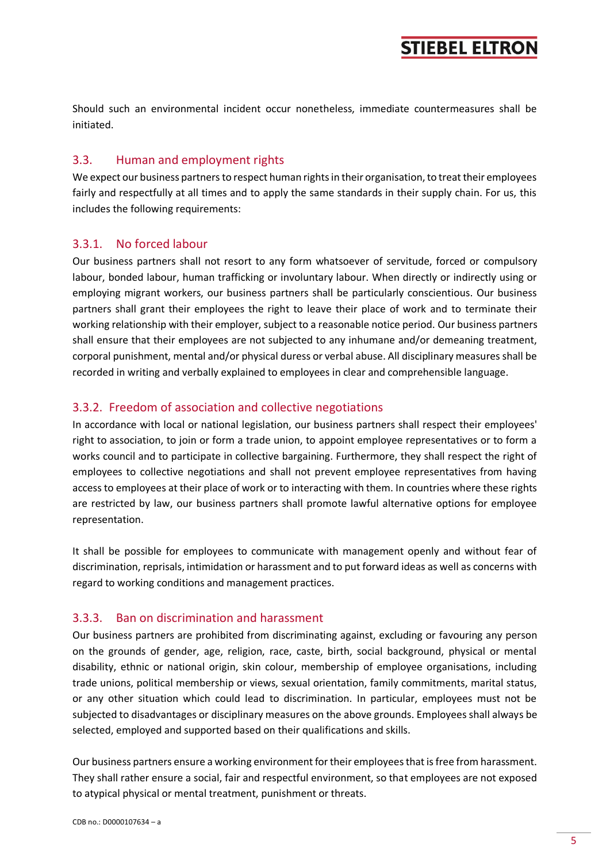Should such an environmental incident occur nonetheless, immediate countermeasures shall be initiated.

#### <span id="page-4-0"></span>3.3. Human and employment rights

We expect our business partners to respect human rights in their organisation, to treat their employees fairly and respectfully at all times and to apply the same standards in their supply chain. For us, this includes the following requirements:

#### <span id="page-4-1"></span>3.3.1. No forced labour

Our business partners shall not resort to any form whatsoever of servitude, forced or compulsory labour, bonded labour, human trafficking or involuntary labour. When directly or indirectly using or employing migrant workers, our business partners shall be particularly conscientious. Our business partners shall grant their employees the right to leave their place of work and to terminate their working relationship with their employer, subject to a reasonable notice period. Our business partners shall ensure that their employees are not subjected to any inhumane and/or demeaning treatment, corporal punishment, mental and/or physical duress or verbal abuse. All disciplinary measures shall be recorded in writing and verbally explained to employees in clear and comprehensible language.

#### <span id="page-4-2"></span>3.3.2. Freedom of association and collective negotiations

In accordance with local or national legislation, our business partners shall respect their employees' right to association, to join or form a trade union, to appoint employee representatives or to form a works council and to participate in collective bargaining. Furthermore, they shall respect the right of employees to collective negotiations and shall not prevent employee representatives from having access to employees at their place of work or to interacting with them. In countries where these rights are restricted by law, our business partners shall promote lawful alternative options for employee representation.

It shall be possible for employees to communicate with management openly and without fear of discrimination, reprisals, intimidation or harassment and to put forward ideas as well as concerns with regard to working conditions and management practices.

#### <span id="page-4-3"></span>3.3.3. Ban on discrimination and harassment

Our business partners are prohibited from discriminating against, excluding or favouring any person on the grounds of gender, age, religion, race, caste, birth, social background, physical or mental disability, ethnic or national origin, skin colour, membership of employee organisations, including trade unions, political membership or views, sexual orientation, family commitments, marital status, or any other situation which could lead to discrimination. In particular, employees must not be subjected to disadvantages or disciplinary measures on the above grounds. Employees shall always be selected, employed and supported based on their qualifications and skills.

Our business partners ensure a working environment for their employees that is free from harassment. They shall rather ensure a social, fair and respectful environment, so that employees are not exposed to atypical physical or mental treatment, punishment or threats.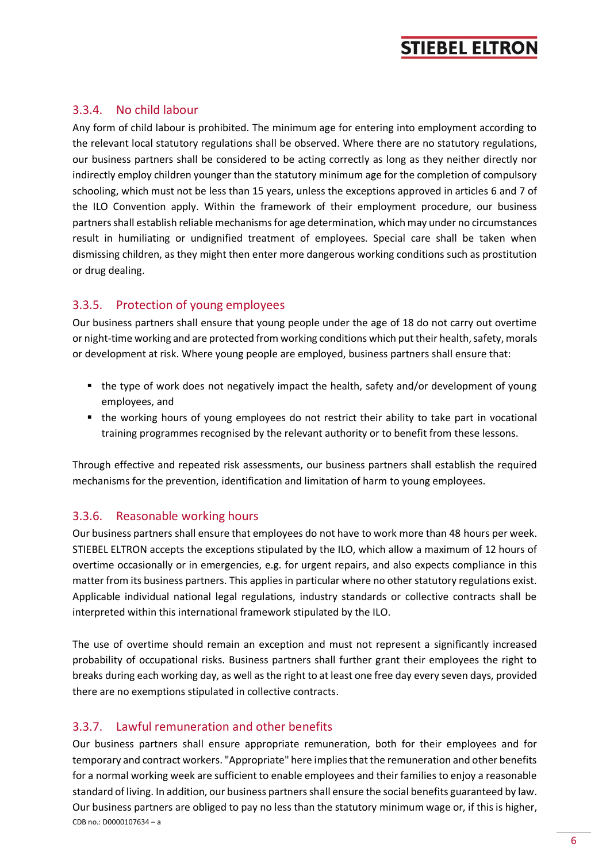#### <span id="page-5-0"></span>3.3.4. No child labour

Any form of child labour is prohibited. The minimum age for entering into employment according to the relevant local statutory regulations shall be observed. Where there are no statutory regulations, our business partners shall be considered to be acting correctly as long as they neither directly nor indirectly employ children younger than the statutory minimum age for the completion of compulsory schooling, which must not be less than 15 years, unless the exceptions approved in articles 6 and 7 of the ILO Convention apply. Within the framework of their employment procedure, our business partners shall establish reliable mechanisms for age determination, which may under no circumstances result in humiliating or undignified treatment of employees. Special care shall be taken when dismissing children, as they might then enter more dangerous working conditions such as prostitution or drug dealing.

### <span id="page-5-1"></span>3.3.5. Protection of young employees

Our business partners shall ensure that young people under the age of 18 do not carry out overtime or night-time working and are protected from working conditions which put their health, safety, morals or development at risk. Where young people are employed, business partners shall ensure that:

- the type of work does not negatively impact the health, safety and/or development of young employees, and
- the working hours of young employees do not restrict their ability to take part in vocational training programmes recognised by the relevant authority or to benefit from these lessons.

Through effective and repeated risk assessments, our business partners shall establish the required mechanisms for the prevention, identification and limitation of harm to young employees.

#### <span id="page-5-2"></span>3.3.6. Reasonable working hours

Our business partners shall ensure that employees do not have to work more than 48 hours per week. STIEBEL ELTRON accepts the exceptions stipulated by the ILO, which allow a maximum of 12 hours of overtime occasionally or in emergencies, e.g. for urgent repairs, and also expects compliance in this matter from its business partners. This applies in particular where no other statutory regulations exist. Applicable individual national legal regulations, industry standards or collective contracts shall be interpreted within this international framework stipulated by the ILO.

The use of overtime should remain an exception and must not represent a significantly increased probability of occupational risks. Business partners shall further grant their employees the right to breaks during each working day, as well as the right to at least one free day every seven days, provided there are no exemptions stipulated in collective contracts.

### <span id="page-5-3"></span>3.3.7. Lawful remuneration and other benefits

CDB no.: D0000107634 – a Our business partners shall ensure appropriate remuneration, both for their employees and for temporary and contract workers. "Appropriate" here implies that the remuneration and other benefits for a normal working week are sufficient to enable employees and their families to enjoy a reasonable standard of living. In addition, our business partners shall ensure the social benefits guaranteed by law. Our business partners are obliged to pay no less than the statutory minimum wage or, if this is higher,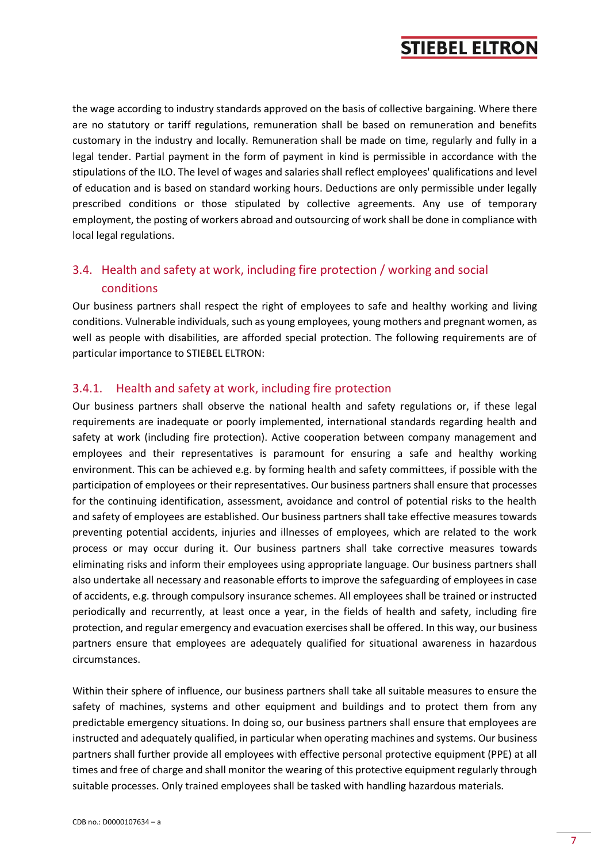the wage according to industry standards approved on the basis of collective bargaining. Where there are no statutory or tariff regulations, remuneration shall be based on remuneration and benefits customary in the industry and locally. Remuneration shall be made on time, regularly and fully in a legal tender. Partial payment in the form of payment in kind is permissible in accordance with the stipulations of the ILO. The level of wages and salaries shall reflect employees' qualifications and level of education and is based on standard working hours. Deductions are only permissible under legally prescribed conditions or those stipulated by collective agreements. Any use of temporary employment, the posting of workers abroad and outsourcing of work shall be done in compliance with local legal regulations.

## <span id="page-6-0"></span>3.4. Health and safety at work, including fire protection / working and social conditions

Our business partners shall respect the right of employees to safe and healthy working and living conditions. Vulnerable individuals, such as young employees, young mothers and pregnant women, as well as people with disabilities, are afforded special protection. The following requirements are of particular importance to STIEBEL ELTRON:

#### <span id="page-6-1"></span>3.4.1. Health and safety at work, including fire protection

Our business partners shall observe the national health and safety regulations or, if these legal requirements are inadequate or poorly implemented, international standards regarding health and safety at work (including fire protection). Active cooperation between company management and employees and their representatives is paramount for ensuring a safe and healthy working environment. This can be achieved e.g. by forming health and safety committees, if possible with the participation of employees or their representatives. Our business partners shall ensure that processes for the continuing identification, assessment, avoidance and control of potential risks to the health and safety of employees are established. Our business partners shall take effective measures towards preventing potential accidents, injuries and illnesses of employees, which are related to the work process or may occur during it. Our business partners shall take corrective measures towards eliminating risks and inform their employees using appropriate language. Our business partners shall also undertake all necessary and reasonable efforts to improve the safeguarding of employees in case of accidents, e.g. through compulsory insurance schemes. All employees shall be trained or instructed periodically and recurrently, at least once a year, in the fields of health and safety, including fire protection, and regular emergency and evacuation exercises shall be offered. In this way, our business partners ensure that employees are adequately qualified for situational awareness in hazardous circumstances.

Within their sphere of influence, our business partners shall take all suitable measures to ensure the safety of machines, systems and other equipment and buildings and to protect them from any predictable emergency situations. In doing so, our business partners shall ensure that employees are instructed and adequately qualified, in particular when operating machines and systems. Our business partners shall further provide all employees with effective personal protective equipment (PPE) at all times and free of charge and shall monitor the wearing of this protective equipment regularly through suitable processes. Only trained employees shall be tasked with handling hazardous materials.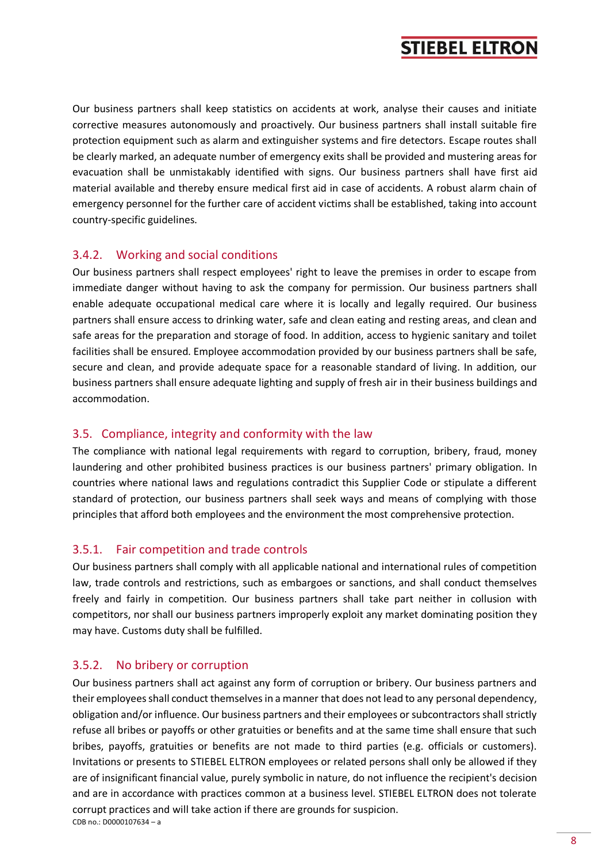Our business partners shall keep statistics on accidents at work, analyse their causes and initiate corrective measures autonomously and proactively. Our business partners shall install suitable fire protection equipment such as alarm and extinguisher systems and fire detectors. Escape routes shall be clearly marked, an adequate number of emergency exits shall be provided and mustering areas for evacuation shall be unmistakably identified with signs. Our business partners shall have first aid material available and thereby ensure medical first aid in case of accidents. A robust alarm chain of emergency personnel for the further care of accident victims shall be established, taking into account country-specific guidelines.

### <span id="page-7-0"></span>3.4.2. Working and social conditions

Our business partners shall respect employees' right to leave the premises in order to escape from immediate danger without having to ask the company for permission. Our business partners shall enable adequate occupational medical care where it is locally and legally required. Our business partners shall ensure access to drinking water, safe and clean eating and resting areas, and clean and safe areas for the preparation and storage of food. In addition, access to hygienic sanitary and toilet facilities shall be ensured. Employee accommodation provided by our business partners shall be safe, secure and clean, and provide adequate space for a reasonable standard of living. In addition, our business partners shall ensure adequate lighting and supply of fresh air in their business buildings and accommodation.

#### <span id="page-7-1"></span>3.5. Compliance, integrity and conformity with the law

The compliance with national legal requirements with regard to corruption, bribery, fraud, money laundering and other prohibited business practices is our business partners' primary obligation. In countries where national laws and regulations contradict this Supplier Code or stipulate a different standard of protection, our business partners shall seek ways and means of complying with those principles that afford both employees and the environment the most comprehensive protection.

### <span id="page-7-2"></span>3.5.1. Fair competition and trade controls

Our business partners shall comply with all applicable national and international rules of competition law, trade controls and restrictions, such as embargoes or sanctions, and shall conduct themselves freely and fairly in competition. Our business partners shall take part neither in collusion with competitors, nor shall our business partners improperly exploit any market dominating position they may have. Customs duty shall be fulfilled.

### <span id="page-7-3"></span>3.5.2. No bribery or corruption

CDB no.: D0000107634 – a Our business partners shall act against any form of corruption or bribery. Our business partners and their employees shall conduct themselves in a manner that does not lead to any personal dependency, obligation and/or influence. Our business partners and their employees or subcontractors shall strictly refuse all bribes or payoffs or other gratuities or benefits and at the same time shall ensure that such bribes, payoffs, gratuities or benefits are not made to third parties (e.g. officials or customers). Invitations or presents to STIEBEL ELTRON employees or related persons shall only be allowed if they are of insignificant financial value, purely symbolic in nature, do not influence the recipient's decision and are in accordance with practices common at a business level. STIEBEL ELTRON does not tolerate corrupt practices and will take action if there are grounds for suspicion.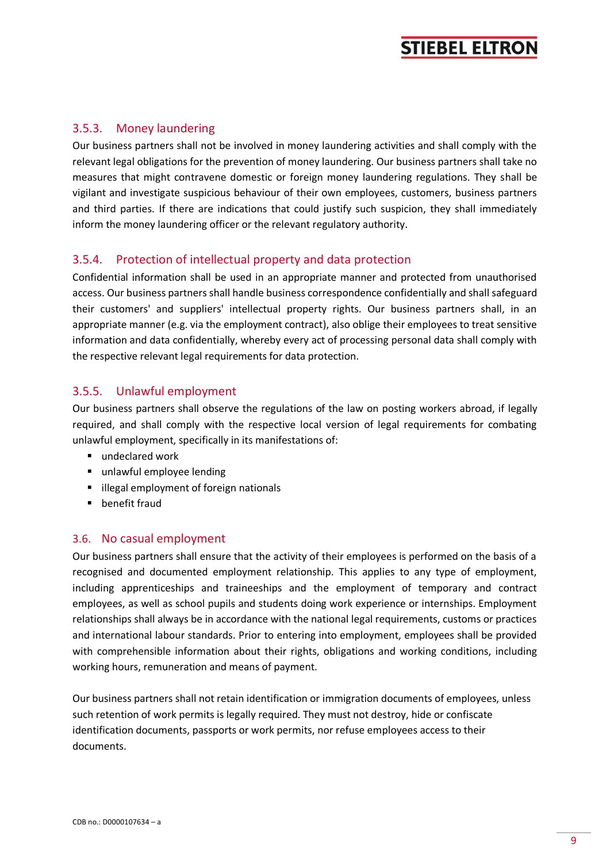#### <span id="page-8-0"></span>3.5.3. Money laundering

Our business partners shall not be involved in money laundering activities and shall comply with the relevant legal obligations for the prevention of money laundering. Our business partners shall take no measures that might contravene domestic or foreign money laundering regulations. They shall be vigilant and investigate suspicious behaviour of their own employees, customers, business partners and third parties. If there are indications that could justify such suspicion, they shall immediately inform the money laundering officer or the relevant regulatory authority.

### <span id="page-8-1"></span>3.5.4. Protection of intellectual property and data protection

Confidential information shall be used in an appropriate manner and protected from unauthorised access. Our business partners shall handle business correspondence confidentially and shall safeguard their customers' and suppliers' intellectual property rights. Our business partners shall, in an appropriate manner (e.g. via the employment contract), also oblige their employees to treat sensitive information and data confidentially, whereby every act of processing personal data shall comply with the respective relevant legal requirements for data protection.

### <span id="page-8-2"></span>3.5.5. Unlawful employment

Our business partners shall observe the regulations of the law on posting workers abroad, if legally required, and shall comply with the respective local version of legal requirements for combating unlawful employment, specifically in its manifestations of:

- undeclared work
- unlawful employee lending
- illegal employment of foreign nationals
- benefit fraud

#### <span id="page-8-3"></span>3.6. No casual employment

Our business partners shall ensure that the activity of their employees is performed on the basis of a recognised and documented employment relationship. This applies to any type of employment, including apprenticeships and traineeships and the employment of temporary and contract employees, as well as school pupils and students doing work experience or internships. Employment relationships shall always be in accordance with the national legal requirements, customs or practices and international labour standards. Prior to entering into employment, employees shall be provided with comprehensible information about their rights, obligations and working conditions, including working hours, remuneration and means of payment.

Our business partners shall not retain identification or immigration documents of employees, unless such retention of work permits is legally required. They must not destroy, hide or confiscate identification documents, passports or work permits, nor refuse employees access to their documents.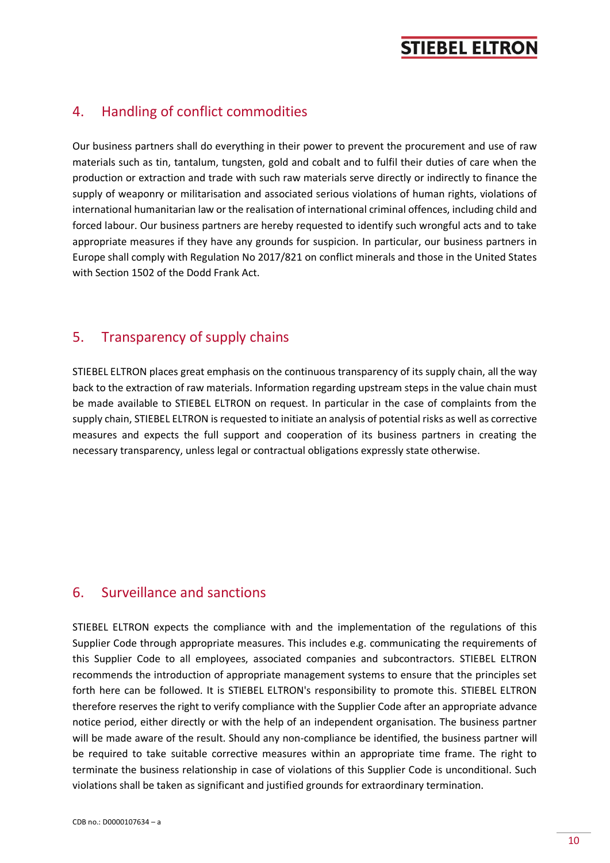## <span id="page-9-0"></span>4. Handling of conflict commodities

Our business partners shall do everything in their power to prevent the procurement and use of raw materials such as tin, tantalum, tungsten, gold and cobalt and to fulfil their duties of care when the production or extraction and trade with such raw materials serve directly or indirectly to finance the supply of weaponry or militarisation and associated serious violations of human rights, violations of international humanitarian law or the realisation of international criminal offences, including child and forced labour. Our business partners are hereby requested to identify such wrongful acts and to take appropriate measures if they have any grounds for suspicion. In particular, our business partners in Europe shall comply with Regulation No 2017/821 on conflict minerals and those in the United States with Section 1502 of the Dodd Frank Act.

## <span id="page-9-1"></span>5. Transparency of supply chains

STIEBEL ELTRON places great emphasis on the continuous transparency of its supply chain, all the way back to the extraction of raw materials. Information regarding upstream steps in the value chain must be made available to STIEBEL ELTRON on request. In particular in the case of complaints from the supply chain, STIEBEL ELTRON is requested to initiate an analysis of potential risks as well as corrective measures and expects the full support and cooperation of its business partners in creating the necessary transparency, unless legal or contractual obligations expressly state otherwise.

## <span id="page-9-2"></span>6. Surveillance and sanctions

STIEBEL ELTRON expects the compliance with and the implementation of the regulations of this Supplier Code through appropriate measures. This includes e.g. communicating the requirements of this Supplier Code to all employees, associated companies and subcontractors. STIEBEL ELTRON recommends the introduction of appropriate management systems to ensure that the principles set forth here can be followed. It is STIEBEL ELTRON's responsibility to promote this. STIEBEL ELTRON therefore reserves the right to verify compliance with the Supplier Code after an appropriate advance notice period, either directly or with the help of an independent organisation. The business partner will be made aware of the result. Should any non-compliance be identified, the business partner will be required to take suitable corrective measures within an appropriate time frame. The right to terminate the business relationship in case of violations of this Supplier Code is unconditional. Such violations shall be taken as significant and justified grounds for extraordinary termination.